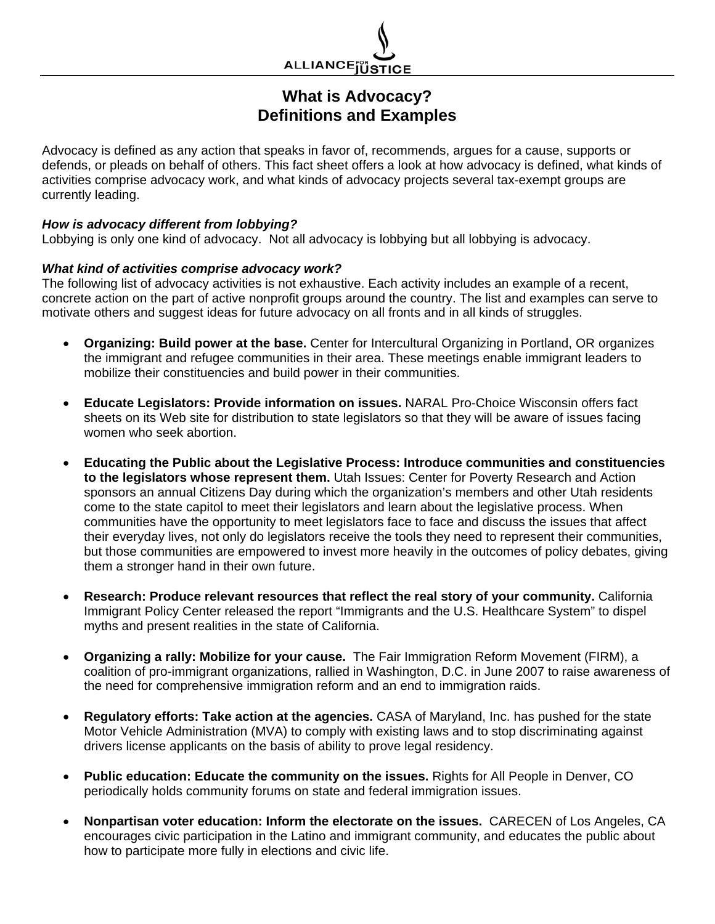

## **What is Advocacy? Definitions and Examples**

Advocacy is defined as any action that speaks in favor of, recommends, argues for a cause, supports or defends, or pleads on behalf of others. This fact sheet offers a look at how advocacy is defined, what kinds of activities comprise advocacy work, and what kinds of advocacy projects several tax-exempt groups are currently leading.

## *How is advocacy different from lobbying?*

Lobbying is only one kind of advocacy. Not all advocacy is lobbying but all lobbying is advocacy.

## *What kind of activities comprise advocacy work?*

The following list of advocacy activities is not exhaustive. Each activity includes an example of a recent, concrete action on the part of active nonprofit groups around the country. The list and examples can serve to motivate others and suggest ideas for future advocacy on all fronts and in all kinds of struggles.

- **Organizing: Build power at the base.** Center for Intercultural Organizing in Portland, OR organizes the immigrant and refugee communities in their area. These meetings enable immigrant leaders to mobilize their constituencies and build power in their communities.
- **Educate Legislators: Provide information on issues.** NARAL Pro-Choice Wisconsin offers fact sheets on its Web site for distribution to state legislators so that they will be aware of issues facing women who seek abortion.
- **Educating the Public about the Legislative Process: Introduce communities and constituencies to the legislators whose represent them.** Utah Issues: Center for Poverty Research and Action sponsors an annual Citizens Day during which the organization's members and other Utah residents come to the state capitol to meet their legislators and learn about the legislative process. When communities have the opportunity to meet legislators face to face and discuss the issues that affect their everyday lives, not only do legislators receive the tools they need to represent their communities, but those communities are empowered to invest more heavily in the outcomes of policy debates, giving them a stronger hand in their own future.
- **Research: Produce relevant resources that reflect the real story of your community.** California Immigrant Policy Center released the report "Immigrants and the U.S. Healthcare System" to dispel myths and present realities in the state of California.
- **Organizing a rally: Mobilize for your cause.** The Fair Immigration Reform Movement (FIRM), a coalition of pro-immigrant organizations, rallied in Washington, D.C. in June 2007 to raise awareness of the need for comprehensive immigration reform and an end to immigration raids.
- **Regulatory efforts: Take action at the agencies.** CASA of Maryland, Inc. has pushed for the state Motor Vehicle Administration (MVA) to comply with existing laws and to stop discriminating against drivers license applicants on the basis of ability to prove legal residency.
- Public education: Educate the community on the issues. Rights for All People in Denver, CO periodically holds community forums on state and federal immigration issues.
- **Nonpartisan voter education: Inform the electorate on the issues.** CARECEN of Los Angeles, CA encourages civic participation in the Latino and immigrant community, and educates the public about how to participate more fully in elections and civic life.